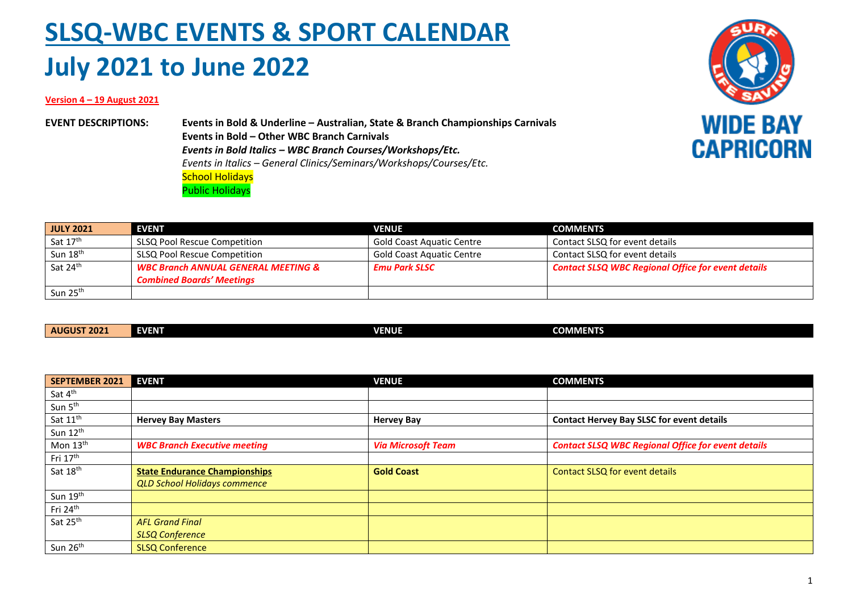## **SLSQ-WBC EVENTS & SPORT CALENDAR July 2021 to June 2022**

## **Version 4 – 19 August 2021**

**EVENT DESCRIPTIONS: Events in Bold & Underline – Australian, State & Branch Championships Carnivals Events in Bold – Other WBC Branch Carnivals** *Events in Bold Italics – WBC Branch Courses/Workshops/Etc. Events in Italics – General Clinics/Seminars/Workshops/Courses/Etc.* School Holidays Public Holidays



| <b>JULY 2021</b>     | <b>EVENT</b>                                   | <b>VENUE</b>                     | <b>COMMENTS</b>                                           |
|----------------------|------------------------------------------------|----------------------------------|-----------------------------------------------------------|
| Sat 17th             | SLSQ Pool Rescue Competition                   | <b>Gold Coast Aquatic Centre</b> | Contact SLSQ for event details                            |
| Sun 18 <sup>th</sup> | SLSQ Pool Rescue Competition                   | <b>Gold Coast Aquatic Centre</b> | Contact SLSQ for event details                            |
| Sat 24 <sup>th</sup> | <b>WBC Branch ANNUAL GENERAL MEETING &amp;</b> | <b>Emu Park SLSC</b>             | <b>Contact SLSQ WBC Regional Office for event details</b> |
|                      | <b>Combined Boards' Meetings</b>               |                                  |                                                           |
| Sun 25 <sup>th</sup> |                                                |                                  |                                                           |

|--|

| <b>SEPTEMBER 2021</b> | <b>EVENT</b>                         | <b>VENUE</b>              | <b>COMMENTS</b>                                           |
|-----------------------|--------------------------------------|---------------------------|-----------------------------------------------------------|
| Sat 4 <sup>th</sup>   |                                      |                           |                                                           |
| Sun 5 <sup>th</sup>   |                                      |                           |                                                           |
| Sat 11 <sup>th</sup>  | <b>Hervey Bay Masters</b>            | <b>Hervey Bay</b>         | <b>Contact Hervey Bay SLSC for event details</b>          |
| Sun 12th              |                                      |                           |                                                           |
| Mon 13th              | <b>WBC Branch Executive meeting</b>  | <b>Via Microsoft Team</b> | <b>Contact SLSQ WBC Regional Office for event details</b> |
| Fri 17th              |                                      |                           |                                                           |
| Sat 18 <sup>th</sup>  | <b>State Endurance Championships</b> | <b>Gold Coast</b>         | Contact SLSQ for event details                            |
|                       | <b>QLD School Holidays commence</b>  |                           |                                                           |
| Sun 19th              |                                      |                           |                                                           |
| Fri 24th              |                                      |                           |                                                           |
| Sat 25 <sup>th</sup>  | <b>AFL Grand Final</b>               |                           |                                                           |
|                       | <b>SLSQ Conference</b>               |                           |                                                           |
| Sun 26 <sup>th</sup>  | <b>SLSQ Conference</b>               |                           |                                                           |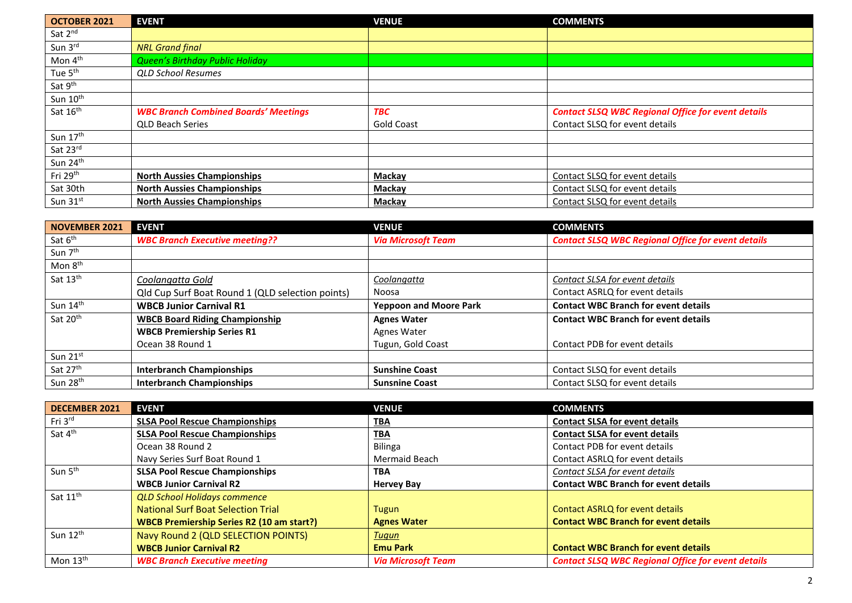| <b>OCTOBER 2021</b>  | <b>EVENT</b>                                | <b>VENUE</b>      | <b>COMMENTS</b>                                           |
|----------------------|---------------------------------------------|-------------------|-----------------------------------------------------------|
| Sat 2 <sup>nd</sup>  |                                             |                   |                                                           |
| Sun 3rd              | <b>NRL Grand final</b>                      |                   |                                                           |
| Mon 4 <sup>th</sup>  | Queen's Birthday Public Holiday             |                   |                                                           |
| Tue 5 <sup>th</sup>  | <b>QLD School Resumes</b>                   |                   |                                                           |
| Sat 9th              |                                             |                   |                                                           |
| Sun 10 <sup>th</sup> |                                             |                   |                                                           |
| Sat 16th             | <b>WBC Branch Combined Boards' Meetings</b> | <b>TBC</b>        | <b>Contact SLSQ WBC Regional Office for event details</b> |
|                      | <b>QLD Beach Series</b>                     | <b>Gold Coast</b> | Contact SLSQ for event details                            |
| Sun 17th             |                                             |                   |                                                           |
| Sat 23rd             |                                             |                   |                                                           |
| Sun 24 <sup>th</sup> |                                             |                   |                                                           |
| Fri 29 <sup>th</sup> | <b>North Aussies Championships</b>          | Mackay            | Contact SLSQ for event details                            |
| Sat 30th             | <b>North Aussies Championships</b>          | Mackay            | Contact SLSQ for event details                            |
| Sun 31st             | <b>North Aussies Championships</b>          | Mackay            | Contact SLSQ for event details                            |

| <b>NOVEMBER 2021</b> | <b>EVENT</b>                                     | <b>VENUE</b>                  | <b>COMMENTS</b>                                           |
|----------------------|--------------------------------------------------|-------------------------------|-----------------------------------------------------------|
| Sat 6 <sup>th</sup>  | <b>WBC Branch Executive meeting??</b>            | <b>Via Microsoft Team</b>     | <b>Contact SLSQ WBC Regional Office for event details</b> |
| Sun 7 <sup>th</sup>  |                                                  |                               |                                                           |
| Mon 8 <sup>th</sup>  |                                                  |                               |                                                           |
| Sat 13 <sup>th</sup> | Coolangatta Gold                                 | Coolangatta                   | Contact SLSA for event details                            |
|                      | Qld Cup Surf Boat Round 1 (QLD selection points) | Noosa                         | Contact ASRLQ for event details                           |
| Sun $14th$           | <b>WBCB Junior Carnival R1</b>                   | <b>Yeppoon and Moore Park</b> | <b>Contact WBC Branch for event details</b>               |
| Sat 20 <sup>th</sup> | <b>WBCB Board Riding Championship</b>            | <b>Agnes Water</b>            | <b>Contact WBC Branch for event details</b>               |
|                      | <b>WBCB Premiership Series R1</b>                | Agnes Water                   |                                                           |
|                      | Ocean 38 Round 1                                 | Tugun, Gold Coast             | Contact PDB for event details                             |
| Sun 21st             |                                                  |                               |                                                           |
| Sat 27th             | <b>Interbranch Championships</b>                 | <b>Sunshine Coast</b>         | Contact SLSQ for event details                            |
| Sun 28 <sup>th</sup> | <b>Interbranch Championships</b>                 | <b>Sunsnine Coast</b>         | Contact SLSQ for event details                            |

| DECEMBER 2021        | <b>EVENT</b>                                     | <b>VENUE</b>              | <b>COMMENTS</b>                                           |
|----------------------|--------------------------------------------------|---------------------------|-----------------------------------------------------------|
| Fri 3 <sup>rd</sup>  | <b>SLSA Pool Rescue Championships</b>            | <u>TBA</u>                | <b>Contact SLSA for event details</b>                     |
| Sat 4 <sup>th</sup>  | <b>SLSA Pool Rescue Championships</b>            | <b>TBA</b>                | <b>Contact SLSA for event details</b>                     |
|                      | Ocean 38 Round 2                                 | <b>Bilinga</b>            | Contact PDB for event details                             |
|                      | Navy Series Surf Boat Round 1                    | <b>Mermaid Beach</b>      | Contact ASRLQ for event details                           |
| Sun 5 <sup>th</sup>  | <b>SLSA Pool Rescue Championships</b>            | <b>TBA</b>                | Contact SLSA for event details                            |
|                      | <b>WBCB Junior Carnival R2</b>                   | <b>Hervey Bay</b>         | <b>Contact WBC Branch for event details</b>               |
| Sat 11 <sup>th</sup> | <b>QLD School Holidays commence</b>              |                           |                                                           |
|                      | <b>National Surf Boat Selection Trial</b>        | Tugun                     | <b>Contact ASRLQ for event details</b>                    |
|                      | <b>WBCB Premiership Series R2 (10 am start?)</b> | <b>Agnes Water</b>        | <b>Contact WBC Branch for event details</b>               |
| Sun 12 <sup>th</sup> | Navy Round 2 (QLD SELECTION POINTS)              | Tuqun                     |                                                           |
|                      | <b>WBCB Junior Carnival R2</b>                   | <b>Emu Park</b>           | <b>Contact WBC Branch for event details</b>               |
| Mon $13^{\text{th}}$ | <b>WBC Branch Executive meeting</b>              | <b>Via Microsoft Team</b> | <b>Contact SLSQ WBC Regional Office for event details</b> |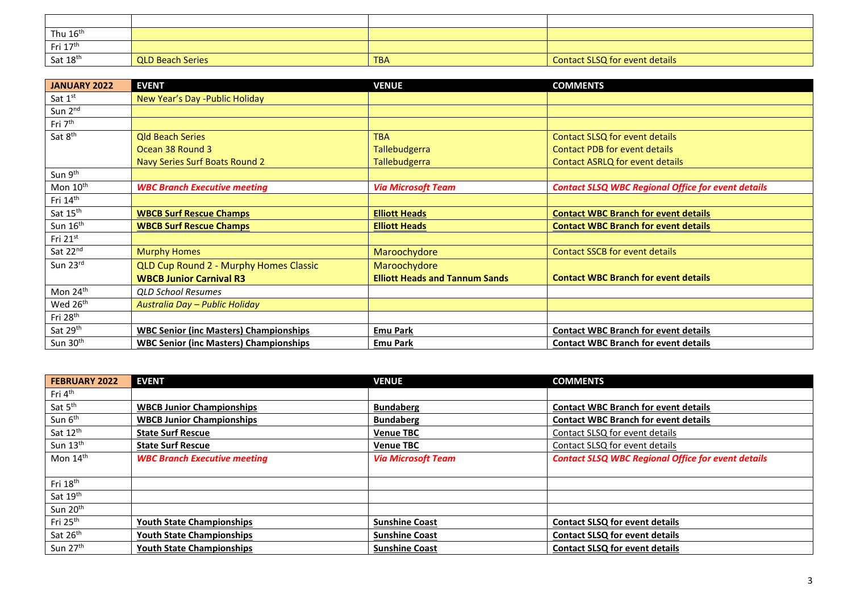| Thu $16^{\text{th}}$ |                         |            |                                |
|----------------------|-------------------------|------------|--------------------------------|
| Fri 17 <sup>th</sup> |                         |            |                                |
| Sat 18 <sup>th</sup> | <b>QLD Beach Series</b> | <b>TBA</b> | Contact SLSQ for event details |

| <b>JANUARY 2022</b>  | <b>EVENT</b>                                  | <b>VENUE</b>                          | <b>COMMENTS</b>                                           |
|----------------------|-----------------------------------------------|---------------------------------------|-----------------------------------------------------------|
| Sat 1st              | New Year's Day - Public Holiday               |                                       |                                                           |
| Sun 2 <sup>nd</sup>  |                                               |                                       |                                                           |
| Fri 7 <sup>th</sup>  |                                               |                                       |                                                           |
| Sat 8 <sup>th</sup>  | <b>Old Beach Series</b>                       | <b>TBA</b>                            | <b>Contact SLSQ for event details</b>                     |
|                      | Ocean 38 Round 3                              | <b>Tallebudgerra</b>                  | <b>Contact PDB for event details</b>                      |
|                      | Navy Series Surf Boats Round 2                | <b>Tallebudgerra</b>                  | Contact ASRLQ for event details                           |
| Sun 9 <sup>th</sup>  |                                               |                                       |                                                           |
| Mon 10 <sup>th</sup> | <b>WBC Branch Executive meeting</b>           | <b>Via Microsoft Team</b>             | <b>Contact SLSQ WBC Regional Office for event details</b> |
| Fri 14th             |                                               |                                       |                                                           |
| Sat 15 <sup>th</sup> | <b>WBCB Surf Rescue Champs</b>                | <b>Elliott Heads</b>                  | <b>Contact WBC Branch for event details</b>               |
| Sun 16th             | <b>WBCB Surf Rescue Champs</b>                | <b>Elliott Heads</b>                  | <b>Contact WBC Branch for event details</b>               |
| Fri $21^{st}$        |                                               |                                       |                                                           |
| Sat 22nd             | <b>Murphy Homes</b>                           | Maroochydore                          | <b>Contact SSCB for event details</b>                     |
| Sun 23rd             | QLD Cup Round 2 - Murphy Homes Classic        | Maroochydore                          |                                                           |
|                      | <b>WBCB Junior Carnival R3</b>                | <b>Elliott Heads and Tannum Sands</b> | <b>Contact WBC Branch for event details</b>               |
| Mon 24 <sup>th</sup> | <b>QLD School Resumes</b>                     |                                       |                                                           |
| Wed 26 <sup>th</sup> | Australia Day - Public Holiday                |                                       |                                                           |
| Fri 28 <sup>th</sup> |                                               |                                       |                                                           |
| Sat 29th             | <b>WBC Senior (inc Masters) Championships</b> | <b>Emu Park</b>                       | <b>Contact WBC Branch for event details</b>               |
| Sun 30 <sup>th</sup> | <b>WBC Senior (inc Masters) Championships</b> | <b>Emu Park</b>                       | <b>Contact WBC Branch for event details</b>               |

| <b>FEBRUARY 2022</b> | <b>EVENT</b>                        | <b>VENUE</b>              | <b>COMMENTS</b>                                           |
|----------------------|-------------------------------------|---------------------------|-----------------------------------------------------------|
| Fri 4 <sup>th</sup>  |                                     |                           |                                                           |
| Sat 5 <sup>th</sup>  | <b>WBCB Junior Championships</b>    | <b>Bundaberg</b>          | <b>Contact WBC Branch for event details</b>               |
| Sun 6 <sup>th</sup>  | <b>WBCB Junior Championships</b>    | <b>Bundaberg</b>          | <b>Contact WBC Branch for event details</b>               |
| Sat 12th             | <b>State Surf Rescue</b>            | <b>Venue TBC</b>          | Contact SLSQ for event details                            |
| Sun 13th             | <b>State Surf Rescue</b>            | <b>Venue TBC</b>          | Contact SLSQ for event details                            |
| Mon $14th$           | <b>WBC Branch Executive meeting</b> | <b>Via Microsoft Team</b> | <b>Contact SLSQ WBC Regional Office for event details</b> |
|                      |                                     |                           |                                                           |
| Fri 18 <sup>th</sup> |                                     |                           |                                                           |
| Sat 19th             |                                     |                           |                                                           |
| Sun 20 <sup>th</sup> |                                     |                           |                                                           |
| Fri 25 <sup>th</sup> | <b>Youth State Championships</b>    | <b>Sunshine Coast</b>     | <b>Contact SLSQ for event details</b>                     |
| Sat 26th             | <b>Youth State Championships</b>    | <b>Sunshine Coast</b>     | <b>Contact SLSQ for event details</b>                     |
| Sun 27th             | <b>Youth State Championships</b>    | <b>Sunshine Coast</b>     | <b>Contact SLSQ for event details</b>                     |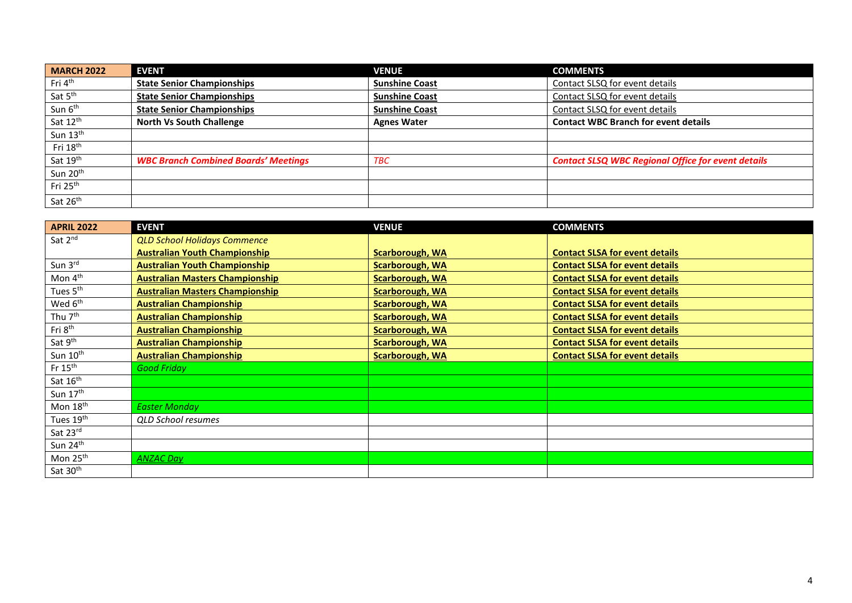| <b>MARCH 2022</b>    | <b>EVENT</b>                                | <b>VENUE</b>          | <b>COMMENTS</b>                                           |
|----------------------|---------------------------------------------|-----------------------|-----------------------------------------------------------|
| Fri 4 <sup>th</sup>  | <b>State Senior Championships</b>           | <b>Sunshine Coast</b> | Contact SLSQ for event details                            |
| Sat 5 <sup>th</sup>  | <b>State Senior Championships</b>           | <b>Sunshine Coast</b> | Contact SLSQ for event details                            |
| Sun 6 <sup>th</sup>  | <b>State Senior Championships</b>           | <b>Sunshine Coast</b> | Contact SLSQ for event details                            |
| Sat 12 <sup>th</sup> | <b>North Vs South Challenge</b>             | <b>Agnes Water</b>    | <b>Contact WBC Branch for event details</b>               |
| Sun 13 <sup>th</sup> |                                             |                       |                                                           |
| Fri 18 <sup>th</sup> |                                             |                       |                                                           |
| Sat 19th             | <b>WBC Branch Combined Boards' Meetings</b> | <b>TBC</b>            | <b>Contact SLSQ WBC Regional Office for event details</b> |
| Sun 20 <sup>th</sup> |                                             |                       |                                                           |
| Fri 25 <sup>th</sup> |                                             |                       |                                                           |
| Sat 26th             |                                             |                       |                                                           |

| <b>APRIL 2022</b>     | <b>EVENT</b>                           | <b>VENUE</b>           | <b>COMMENTS</b>                       |
|-----------------------|----------------------------------------|------------------------|---------------------------------------|
| Sat 2nd               | <b>QLD School Holidays Commence</b>    |                        |                                       |
|                       | <b>Australian Youth Championship</b>   | <b>Scarborough, WA</b> | <b>Contact SLSA for event details</b> |
| Sun 3rd               | <b>Australian Youth Championship</b>   | <b>Scarborough, WA</b> | <b>Contact SLSA for event details</b> |
| Mon 4 <sup>th</sup>   | <b>Australian Masters Championship</b> | <b>Scarborough, WA</b> | <b>Contact SLSA for event details</b> |
| Tues 5 <sup>th</sup>  | <b>Australian Masters Championship</b> | <b>Scarborough, WA</b> | <b>Contact SLSA for event details</b> |
| Wed 6 <sup>th</sup>   | <b>Australian Championship</b>         | <b>Scarborough, WA</b> | <b>Contact SLSA for event details</b> |
| Thu 7 <sup>th</sup>   | <b>Australian Championship</b>         | <b>Scarborough, WA</b> | <b>Contact SLSA for event details</b> |
| Fri 8 <sup>th</sup>   | <b>Australian Championship</b>         | <b>Scarborough, WA</b> | <b>Contact SLSA for event details</b> |
| Sat 9 <sup>th</sup>   | <b>Australian Championship</b>         | <b>Scarborough, WA</b> | <b>Contact SLSA for event details</b> |
| Sun 10 <sup>th</sup>  | <b>Australian Championship</b>         | <b>Scarborough, WA</b> | <b>Contact SLSA for event details</b> |
| Fr $15th$             | <b>Good Friday</b>                     |                        |                                       |
| Sat 16th              |                                        |                        |                                       |
| Sun 17th              |                                        |                        |                                       |
| Mon 18th              | <b>Easter Monday</b>                   |                        |                                       |
| Tues 19 <sup>th</sup> | <b>QLD School resumes</b>              |                        |                                       |
| Sat 23rd              |                                        |                        |                                       |
| Sun 24 <sup>th</sup>  |                                        |                        |                                       |
| Mon 25 <sup>th</sup>  | <b>ANZAC Day</b>                       |                        |                                       |
| Sat 30 <sup>th</sup>  |                                        |                        |                                       |